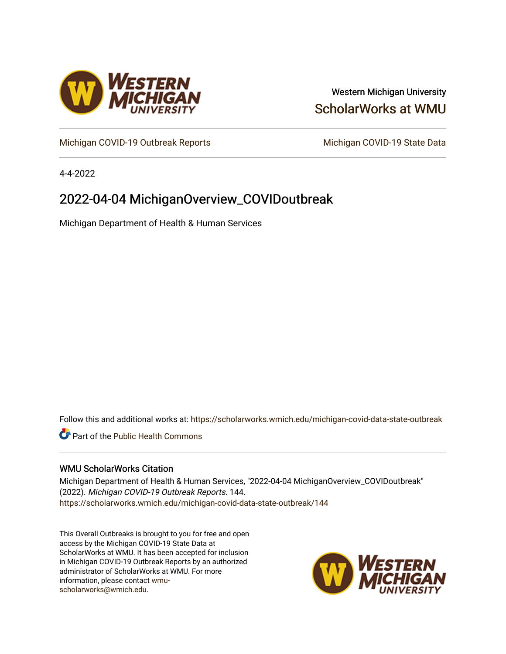

## Western Michigan University [ScholarWorks at WMU](https://scholarworks.wmich.edu/)

[Michigan COVID-19 Outbreak Reports](https://scholarworks.wmich.edu/michigan-covid-data-state-outbreak) Michigan COVID-19 State Data

4-4-2022

# 2022-04-04 MichiganOverview\_COVIDoutbreak

Michigan Department of Health & Human Services

Follow this and additional works at: [https://scholarworks.wmich.edu/michigan-covid-data-state-outbreak](https://scholarworks.wmich.edu/michigan-covid-data-state-outbreak?utm_source=scholarworks.wmich.edu%2Fmichigan-covid-data-state-outbreak%2F144&utm_medium=PDF&utm_campaign=PDFCoverPages)

**C** Part of the Public Health Commons

#### WMU ScholarWorks Citation

Michigan Department of Health & Human Services, "2022-04-04 MichiganOverview\_COVIDoutbreak" (2022). Michigan COVID-19 Outbreak Reports. 144. [https://scholarworks.wmich.edu/michigan-covid-data-state-outbreak/144](https://scholarworks.wmich.edu/michigan-covid-data-state-outbreak/144?utm_source=scholarworks.wmich.edu%2Fmichigan-covid-data-state-outbreak%2F144&utm_medium=PDF&utm_campaign=PDFCoverPages) 

This Overall Outbreaks is brought to you for free and open access by the Michigan COVID-19 State Data at ScholarWorks at WMU. It has been accepted for inclusion in Michigan COVID-19 Outbreak Reports by an authorized administrator of ScholarWorks at WMU. For more information, please contact [wmu](mailto:wmu-scholarworks@wmich.edu)[scholarworks@wmich.edu.](mailto:wmu-scholarworks@wmich.edu)